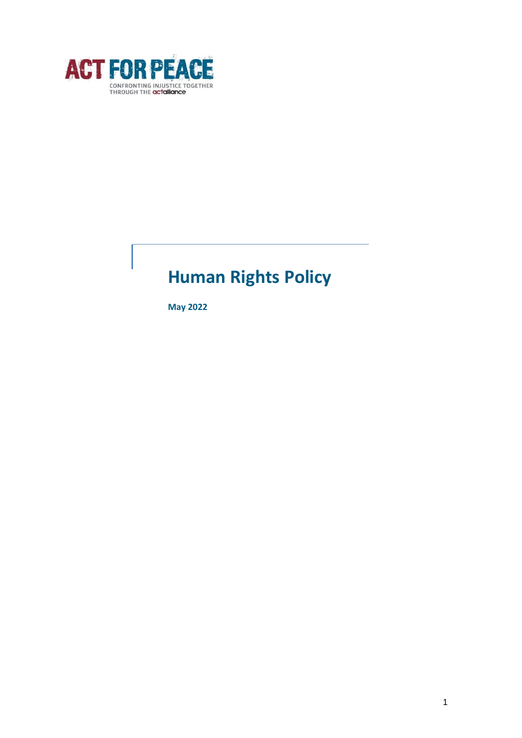

# **Human Rights Policy**

**May 2022**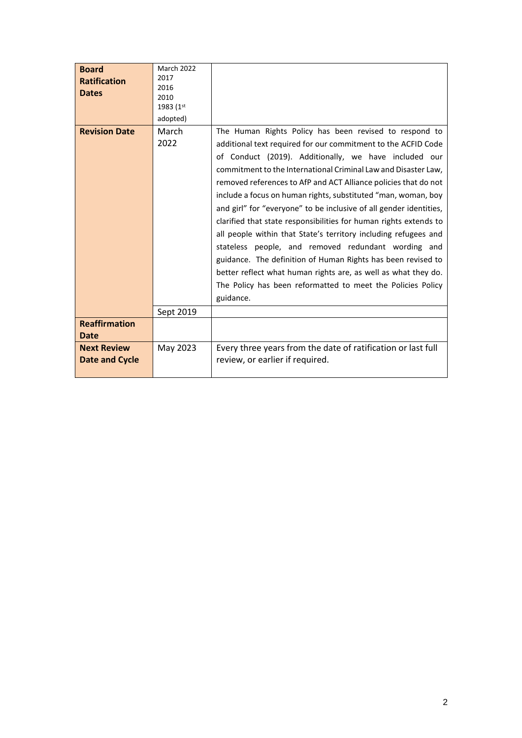| <b>Board</b><br><b>Ratification</b><br><b>Dates</b> | <b>March 2022</b><br>2017<br>2016<br>2010<br>1983 (1st<br>adopted) |                                                                                                                                                                                                                                                                                                                                                                                                                                                                                                                                                                                                                                                                                                                                                                                                                                                                           |
|-----------------------------------------------------|--------------------------------------------------------------------|---------------------------------------------------------------------------------------------------------------------------------------------------------------------------------------------------------------------------------------------------------------------------------------------------------------------------------------------------------------------------------------------------------------------------------------------------------------------------------------------------------------------------------------------------------------------------------------------------------------------------------------------------------------------------------------------------------------------------------------------------------------------------------------------------------------------------------------------------------------------------|
| <b>Revision Date</b>                                | March<br>2022                                                      | The Human Rights Policy has been revised to respond to<br>additional text required for our commitment to the ACFID Code<br>of Conduct (2019). Additionally, we have included our<br>commitment to the International Criminal Law and Disaster Law,<br>removed references to AfP and ACT Alliance policies that do not<br>include a focus on human rights, substituted "man, woman, boy<br>and girl" for "everyone" to be inclusive of all gender identities,<br>clarified that state responsibilities for human rights extends to<br>all people within that State's territory including refugees and<br>stateless people, and removed redundant wording and<br>guidance. The definition of Human Rights has been revised to<br>better reflect what human rights are, as well as what they do.<br>The Policy has been reformatted to meet the Policies Policy<br>guidance. |
|                                                     | Sept 2019                                                          |                                                                                                                                                                                                                                                                                                                                                                                                                                                                                                                                                                                                                                                                                                                                                                                                                                                                           |
| <b>Reaffirmation</b><br>Date                        |                                                                    |                                                                                                                                                                                                                                                                                                                                                                                                                                                                                                                                                                                                                                                                                                                                                                                                                                                                           |
| <b>Next Review</b><br>Date and Cycle                | May 2023                                                           | Every three years from the date of ratification or last full<br>review, or earlier if required.                                                                                                                                                                                                                                                                                                                                                                                                                                                                                                                                                                                                                                                                                                                                                                           |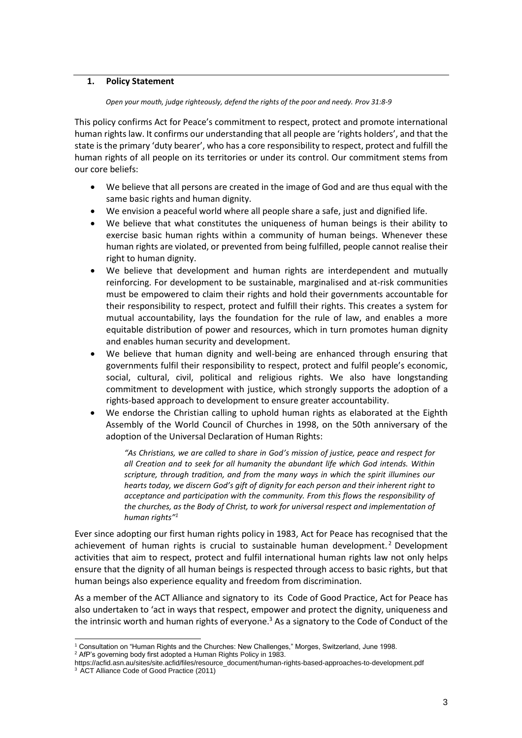#### **1. Policy Statement**

#### *Open your mouth, judge righteously, defend the rights of the poor and needy. Prov 31:8-9*

This policy confirms Act for Peace's commitment to respect, protect and promote international human rights law. It confirms our understanding that all people are 'rights holders', and that the state is the primary 'duty bearer', who has a core responsibility to respect, protect and fulfill the human rights of all people on its territories or under its control. Our commitment stems from our core beliefs:

- We believe that all persons are created in the image of God and are thus equal with the same basic rights and human dignity.
- We envision a peaceful world where all people share a safe, just and dignified life.
- We believe that what constitutes the uniqueness of human beings is their ability to exercise basic human rights within a community of human beings. Whenever these human rights are violated, or prevented from being fulfilled, people cannot realise their right to human dignity.
- We believe that development and human rights are interdependent and mutually reinforcing. For development to be sustainable, marginalised and at-risk communities must be empowered to claim their rights and hold their governments accountable for their responsibility to respect, protect and fulfill their rights. This creates a system for mutual accountability, lays the foundation for the rule of law, and enables a more equitable distribution of power and resources, which in turn promotes human dignity and enables human security and development.
- We believe that human dignity and well-being are enhanced through ensuring that governments fulfil their responsibility to respect, protect and fulfil people's economic, social, cultural, civil, political and religious rights. We also have longstanding commitment to development with justice, which strongly supports the adoption of a rights-based approach to development to ensure greater accountability.
- We endorse the Christian calling to uphold human rights as elaborated at the Eighth Assembly of the World Council of Churches in 1998, on the 50th anniversary of the adoption of the Universal Declaration of Human Rights:

*"As Christians, we are called to share in God's mission of justice, peace and respect for all Creation and to seek for all humanity the abundant life which God intends. Within scripture, through tradition, and from the many ways in which the spirit illumines our hearts today, we discern God's gift of dignity for each person and their inherent right to acceptance and participation with the community. From this flows the responsibility of the churches, as the Body of Christ, to work for universal respect and implementation of human rights"<sup>1</sup>*

Ever since adopting our first human rights policy in 1983, Act for Peace has recognised that the achievement of human rights is crucial to sustainable human development.<sup>2</sup> Development activities that aim to respect, protect and fulfil international human rights law not only helps ensure that the dignity of all human beings is respected through access to basic rights, but that human beings also experience equality and freedom from discrimination.

As a member of the ACT Alliance and signatory to its Code of Good Practice, Act for Peace has also undertaken to 'act in ways that respect, empower and protect the dignity, uniqueness and the intrinsic worth and human rights of everyone.<sup>3</sup> As a signatory to the Code of Conduct of the

<sup>1</sup> Consultation on "Human Rights and the Churches: New Challenges," Morges, Switzerland, June 1998.

<sup>2</sup> AfP's governing body first adopted a Human Rights Policy in 1983.

[https://acfid.asn.au/sites/site.acfid/files/resource\\_document/human-rights-based-approaches-to-development.pdf](https://acfid.asn.au/sites/site.acfid/files/resource_document/human-rights-based-approaches-to-development.pdf) <sup>3</sup> ACT Alliance Code of Good Practice (2011)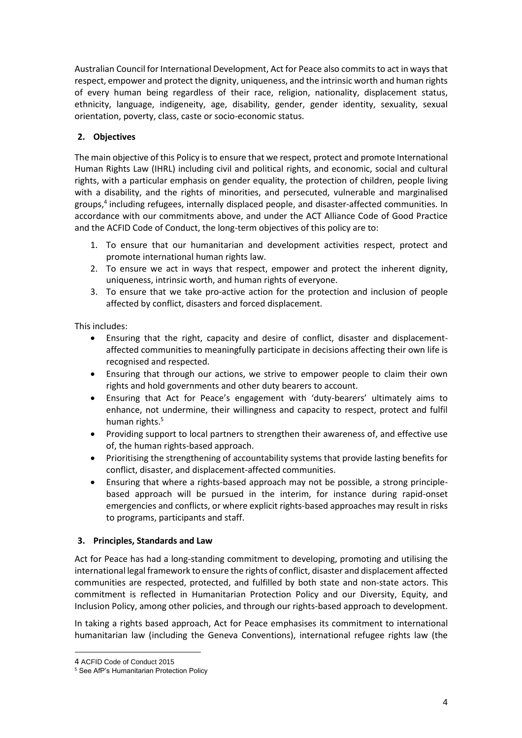Australian Council for International Development, Act for Peace also commits to act in ways that respect, empower and protect the dignity, uniqueness, and the intrinsic worth and human rights of every human being regardless of their race, religion, nationality, displacement status, ethnicity, language, indigeneity, age, disability, gender, gender identity, sexuality, sexual orientation, poverty, class, caste or socio-economic status.

## **2. Objectives**

The main objective of this Policy is to ensure that we respect, protect and promote International Human Rights Law (IHRL) including civil and political rights, and economic, social and cultural rights, with a particular emphasis on gender equality, the protection of children, people living with a disability, and the rights of minorities, and persecuted, vulnerable and marginalised groups,<sup>4</sup> including refugees, internally displaced people, and disaster-affected communities. In accordance with our commitments above, and under the ACT Alliance Code of Good Practice and the ACFID Code of Conduct, the long-term objectives of this policy are to:

- 1. To ensure that our humanitarian and development activities respect, protect and promote international human rights law.
- 2. To ensure we act in ways that respect, empower and protect the inherent dignity, uniqueness, intrinsic worth, and human rights of everyone.
- 3. To ensure that we take pro-active action for the protection and inclusion of people affected by conflict, disasters and forced displacement.

This includes:

- Ensuring that the right, capacity and desire of conflict, disaster and displacementaffected communities to meaningfully participate in decisions affecting their own life is recognised and respected.
- Ensuring that through our actions, we strive to empower people to claim their own rights and hold governments and other duty bearers to account.
- Ensuring that Act for Peace's engagement with 'duty-bearers' ultimately aims to enhance, not undermine, their willingness and capacity to respect, protect and fulfil human rights.<sup>5</sup>
- Providing support to local partners to strengthen their awareness of, and effective use of, the human rights-based approach.
- Prioritising the strengthening of accountability systems that provide lasting benefits for conflict, disaster, and displacement-affected communities.
- Ensuring that where a rights-based approach may not be possible, a strong principlebased approach will be pursued in the interim, for instance during rapid-onset emergencies and conflicts, or where explicit rights-based approaches may result in risks to programs, participants and staff.

### **3. Principles, Standards and Law**

Act for Peace has had a long-standing commitment to developing, promoting and utilising the international legal framework to ensure the rights of conflict, disaster and displacement affected communities are respected, protected, and fulfilled by both state and non-state actors. This commitment is reflected in Humanitarian Protection Policy and our Diversity, Equity, and Inclusion Policy, among other policies, and through our rights-based approach to development.

In taking a rights based approach, Act for Peace emphasises its commitment to international humanitarian law (including the Geneva Conventions), international refugee rights law (the

<sup>4</sup> ACFID Code of Conduct 2015

<sup>5</sup> See AfP's Humanitarian Protection Policy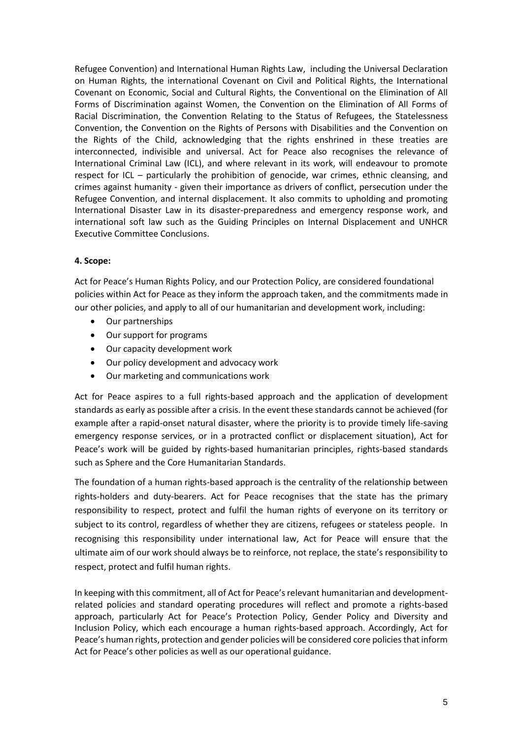Refugee Convention) and International Human Rights Law, including the Universal Declaration on Human Rights, the international Covenant on Civil and Political Rights, the International Covenant on Economic, Social and Cultural Rights, the Conventional on the Elimination of All Forms of Discrimination against Women, the Convention on the Elimination of All Forms of Racial Discrimination, the Convention Relating to the Status of Refugees, the Statelessness Convention, the Convention on the Rights of Persons with Disabilities and the Convention on the Rights of the Child, acknowledging that the rights enshrined in these treaties are interconnected, indivisible and universal. Act for Peace also recognises the relevance of International Criminal Law (ICL), and where relevant in its work, will endeavour to promote respect for ICL – particularly the prohibition of genocide, war crimes, ethnic cleansing, and crimes against humanity - given their importance as drivers of conflict, persecution under the Refugee Convention, and internal displacement. It also commits to upholding and promoting International Disaster Law in its disaster-preparedness and emergency response work, and international soft law such as the Guiding Principles on Internal Displacement and UNHCR Executive Committee Conclusions.

### **4. Scope:**

Act for Peace's Human Rights Policy, and our Protection Policy, are considered foundational policies within Act for Peace as they inform the approach taken, and the commitments made in our other policies, and apply to all of our humanitarian and development work, including:

- Our partnerships
- Our support for programs
- Our capacity development work
- Our policy development and advocacy work
- Our marketing and communications work

Act for Peace aspires to a full rights-based approach and the application of development standards as early as possible after a crisis. In the event these standards cannot be achieved (for example after a rapid-onset natural disaster, where the priority is to provide timely life-saving emergency response services, or in a protracted conflict or displacement situation), Act for Peace's work will be guided by rights-based humanitarian principles, rights-based standards such as Sphere and the Core Humanitarian Standards.

The foundation of a human rights-based approach is the centrality of the relationship between rights-holders and duty-bearers. Act for Peace recognises that the state has the primary responsibility to respect, protect and fulfil the human rights of everyone on its territory or subject to its control, regardless of whether they are citizens, refugees or stateless people. In recognising this responsibility under international law, Act for Peace will ensure that the ultimate aim of our work should always be to reinforce, not replace, the state's responsibility to respect, protect and fulfil human rights.

In keeping with this commitment, all of Act for Peace's relevant humanitarian and developmentrelated policies and standard operating procedures will reflect and promote a rights-based approach, particularly Act for Peace's Protection Policy, Gender Policy and Diversity and Inclusion Policy, which each encourage a human rights-based approach. Accordingly, Act for Peace's human rights, protection and gender policies will be considered core policies that inform Act for Peace's other policies as well as our operational guidance.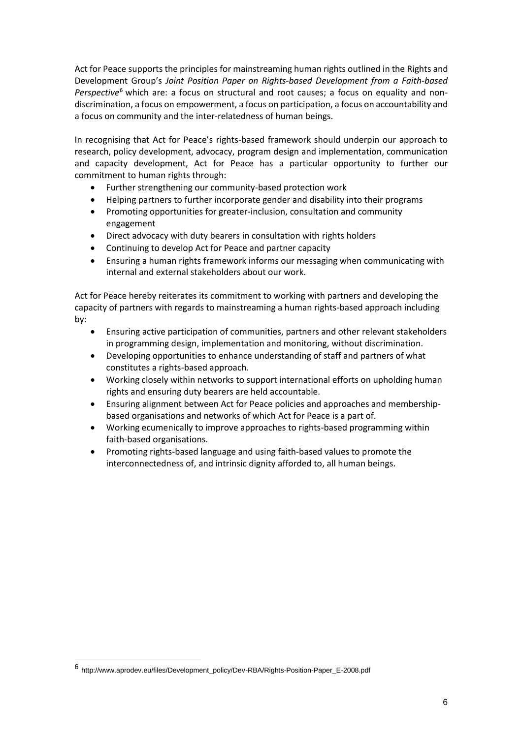Act for Peace supports the principles for mainstreaming human rights outlined in the Rights and Development Group's *Joint Position Paper on Rights-based Development from a Faith-based Perspective*<sup>6</sup> which are: a focus on structural and root causes; a focus on equality and nondiscrimination, a focus on empowerment, a focus on participation, a focus on accountability and a focus on community and the inter-relatedness of human beings.

In recognising that Act for Peace's rights-based framework should underpin our approach to research, policy development, advocacy, program design and implementation, communication and capacity development, Act for Peace has a particular opportunity to further our commitment to human rights through:

- Further strengthening our community-based protection work
- Helping partners to further incorporate gender and disability into their programs
- Promoting opportunities for greater-inclusion, consultation and community engagement
- Direct advocacy with duty bearers in consultation with rights holders
- Continuing to develop Act for Peace and partner capacity
- Ensuring a human rights framework informs our messaging when communicating with internal and external stakeholders about our work.

Act for Peace hereby reiterates its commitment to working with partners and developing the capacity of partners with regards to mainstreaming a human rights-based approach including by:

- Ensuring active participation of communities, partners and other relevant stakeholders in programming design, implementation and monitoring, without discrimination.
- Developing opportunities to enhance understanding of staff and partners of what constitutes a rights-based approach.
- Working closely within networks to support international efforts on upholding human rights and ensuring duty bearers are held accountable.
- Ensuring alignment between Act for Peace policies and approaches and membershipbased organisations and networks of which Act for Peace is a part of.
- Working ecumenically to improve approaches to rights-based programming within faith-based organisations.
- Promoting rights-based language and using faith-based values to promote the interconnectedness of, and intrinsic dignity afforded to, all human beings.

<sup>6</sup> http://www.aprodev.eu/files/Development\_policy/Dev-RBA/Rights-Position-Paper\_E-2008.pdf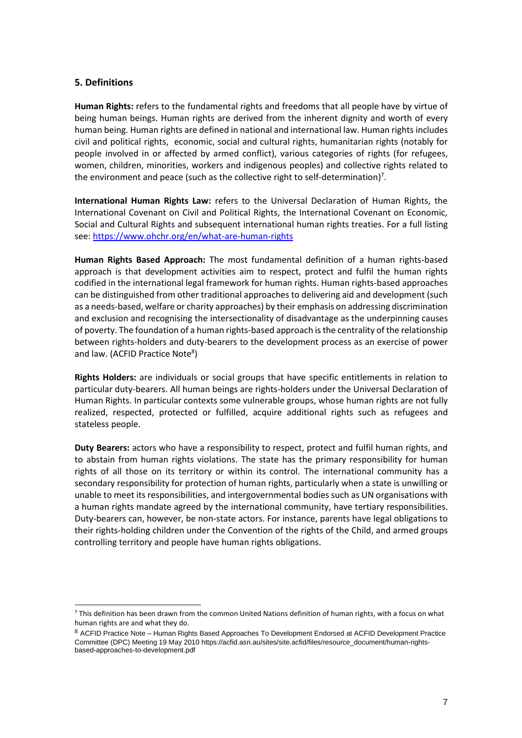### **5. Definitions**

**Human Rights:** refers to the fundamental rights and freedoms that all people have by virtue of being human beings. Human rights are derived from the inherent dignity and worth of every human being. Human rights are defined in national and international law. Human rights includes civil and political rights, economic, social and cultural rights, humanitarian rights (notably for people involved in or affected by armed conflict), various categories of rights (for refugees, women, children, minorities, workers and indigenous peoples) and collective rights related to the environment and peace (such as the collective right to self-determination)<sup>7</sup>.

**International Human Rights Law:** refers to the Universal Declaration of Human Rights, the International Covenant on Civil and Political Rights, the International Covenant on Economic, Social and Cultural Rights and subsequent international human rights treaties. For a full listing see: <https://www.ohchr.org/en/what-are-human-rights>

**Human Rights Based Approach:** The most fundamental definition of a human rights-based approach is that development activities aim to respect, protect and fulfil the human rights codified in the international legal framework for human rights. Human rights-based approaches can be distinguished from other traditional approaches to delivering aid and development (such as a needs-based, welfare or charity approaches) by their emphasis on addressing discrimination and exclusion and recognising the intersectionality of disadvantage as the underpinning causes of poverty. The foundation of a human rights-based approach is the centrality of the relationship between rights-holders and duty-bearers to the development process as an exercise of power and law. (ACFID Practice Note<sup>8</sup>)

**Rights Holders:** are individuals or social groups that have specific entitlements in relation to particular duty-bearers. All human beings are rights-holders under the Universal Declaration of Human Rights. In particular contexts some vulnerable groups, whose human rights are not fully realized, respected, protected or fulfilled, acquire additional rights such as refugees and stateless people.

**Duty Bearers:** actors who have a responsibility to respect, protect and fulfil human rights, and to abstain from human rights violations. The state has the primary responsibility for human rights of all those on its territory or within its control. The international community has a secondary responsibility for protection of human rights, particularly when a state is unwilling or unable to meet its responsibilities, and intergovernmental bodies such as UN organisations with a human rights mandate agreed by the international community, have tertiary responsibilities. Duty-bearers can, however, be non-state actors. For instance, parents have legal obligations to their rights-holding children under the Convention of the rights of the Child, and armed groups controlling territory and people have human rights obligations.

<sup>7</sup> This definition has been drawn from the common United Nations definition of human rights, with a focus on what human rights are and what they do.

<sup>8</sup> ACFID Practice Note – Human Rights Based Approaches To Development Endorsed at ACFID Development Practice Committee (DPC) Meeting 19 May 2010 [https://acfid.asn.au/sites/site.acfid/files/resource\\_document/human-rights](https://acfid.asn.au/sites/site.acfid/files/resource_document/human-rights-based-approaches-to-development.pdf)[based-approaches-to-development.pdf](https://acfid.asn.au/sites/site.acfid/files/resource_document/human-rights-based-approaches-to-development.pdf)